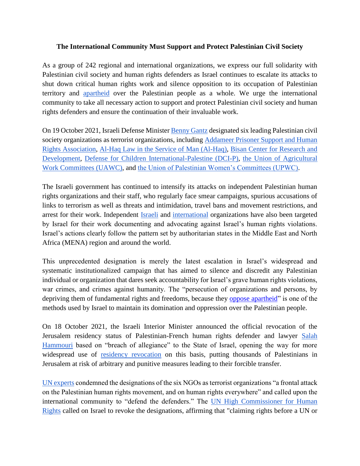## **The International Community Must Support and Protect Palestinian Civil Society**

As a group of 242 regional and international organizations, we express our full solidarity with Palestinian civil society and human rights defenders as Israel continues to escalate its attacks to shut down critical human rights work and silence opposition to its occupation of Palestinian territory and [apartheid](https://cihrs.org/united-nations-israel-attempts-to-silence-growing-condemnation-of-its-apartheid-regime/?lang=en) over the Palestinian people as a whole. We urge the international community to take all necessary action to support and protect Palestinian civil society and human rights defenders and ensure the continuation of their invaluable work.

On 19 October 2021, Israeli Defense Minister [Benny Gantz](https://www.npr.org/2021/10/23/1048690050/israel-palestinian-human-right-groups) designated six leading Palestinian civil society organizations as terrorist organizations, including Addameer Prisoner Support and Human [Rights Association,](https://www.addameer.org/) [Al-Haq Law in the Service of Man \(Al-Haq\),](https://www.alhaq.org/advocacy/19050.html) [Bisan Center for Research and](https://www.bisan.org/)  [Development,](https://www.bisan.org/) [Defense for Children International-Palestine \(DCI-P\),](https://www.dci-palestine.org/) [the Union of Agricultural](https://www.uawc-pal.org/index.php?&lang=en)  [Work Committees \(UAWC\),](https://www.uawc-pal.org/index.php?&lang=en) and [the Union of Palestinian Women's Committees \(UPWC\).](http://upwc.org.ps/?page_id=4150)

The Israeli government has continued to intensify its attacks on independent Palestinian human rights organizations and their staff, who regularly face smear campaigns, spurious accusations of links to terrorism as well as threats and intimidation, travel bans and movement restrictions, and arrest for their work. Independent [Israeli](https://www.swp-berlin.org/publications/products/comments/2017C36_ass.pdf) and [international](https://www.hrw.org/news/2019/11/25/israel-expels-human-rights-watch-director-today) organizations have also been targeted by Israel for their work documenting and advocating against Israel's human rights violations. Israel's actions clearly follow the pattern set by authoritarian states in the Middle East and North Africa (MENA) region and around the world.

This unprecedented designation is merely the latest escalation in Israel's widespread and systematic institutionalized campaign that has aimed to silence and discredit any Palestinian individual or organization that dares seek accountability for Israel's grave human rights violations, war crimes, and crimes against humanity. The "persecution of organizations and persons, by depriving them of fundamental rights and freedoms, because they [oppose apartheid"](https://www.un.org/en/genocideprevention/documents/atrocity-crimes/Doc.10_International%20Convention%20on%20the%20Suppression%20and%20Punishment%20of%20the%20Crime%20of%20Apartheid.pdf) is one of the methods used by Israel to maintain its domination and oppression over the Palestinian people.

On 18 October 2021, the Israeli Interior Minister announced the official revocation of the Jerusalem residency status of Palestinian-French human rights defender and lawyer [Salah](https://www.addameer.org/news/4531)  [Hammouri](https://www.addameer.org/news/4531) based on "breach of allegiance" to the State of Israel, opening the way for more widespread use of **[residency revocation](https://cihrs.org/palestine-un-special-procedures-must-respond-to-israels-latest-steps-to-approve-the-residency-revocation-of-palestinian-hrd-salah-hammouri/?lang=en)** on this basis, putting thousands of Palestinians in Jerusalem at risk of arbitrary and punitive measures leading to their forcible transfer.

[UN experts](https://www.ohchr.org/EN/NewsEvents/Pages/DisplayNews.aspx?NewsID=27702&LangID=E) condemned the designations of the six NGOs as terrorist organizations "a frontal attack on the Palestinian human rights movement, and on human rights everywhere" and called upon the international community to "defend the defenders." The UN High Commissioner for Human [Rights](https://www.ohchr.org/EN/NewsEvents/Pages/DisplayNews.aspx?NewsID=27708&LangID=E) called on Israel to revoke the designations, affirming that "claiming rights before a UN or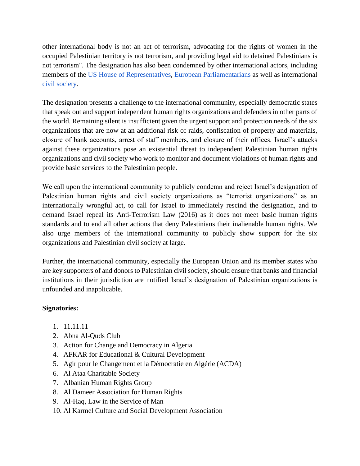other international body is not an act of terrorism, advocating for the rights of women in the occupied Palestinian territory is not terrorism, and providing legal aid to detained Palestinians is not terrorism". The designation has also been condemned by other international actors, including members of the [US House of Representatives,](https://twitter.com/BettyMcCollum04/status/1451595120395051014?s=20) [European](https://twitter.com/EP_HumanRights/status/1452895491969232896?s=20) [Parliamentarians](https://twitter.com/ManuPineda/status/1452680120343334914?s=20) as well as international [civil society.](https://www.hrw.org/news/2021/10/22/israel/palestine-designation-palestinian-rights-groups-terrorists)

The designation presents a challenge to the international community, especially democratic states that speak out and support independent human rights organizations and defenders in other parts of the world. Remaining silent is insufficient given the urgent support and protection needs of the six organizations that are now at an additional risk of raids, confiscation of property and materials, closure of bank accounts, arrest of staff members, and closure of their offices. Israel's attacks against these organizations pose an existential threat to independent Palestinian human rights organizations and civil society who work to monitor and document violations of human rights and provide basic services to the Palestinian people.

We call upon the international community to publicly condemn and reject Israel's designation of Palestinian human rights and civil society organizations as "terrorist organizations" as an internationally wrongful act, to call for Israel to immediately rescind the designation, and to demand Israel repeal its Anti-Terrorism Law (2016) as it does not meet basic human rights standards and to end all other actions that deny Palestinians their inalienable human rights. We also urge members of the international community to publicly show support for the six organizations and Palestinian civil society at large.

Further, the international community, especially the European Union and its member states who are key supporters of and donors to Palestinian civil society, should ensure that banks and financial institutions in their jurisdiction are notified Israel's designation of Palestinian organizations is unfounded and inapplicable.

## **Signatories:**

- 1. 11.11.11
- 2. Abna Al-Quds Club
- 3. Action for Change and Democracy in Algeria
- 4. AFKAR for Educational & Cultural Development
- 5. Agir pour le Changement et la Démocratie en Algérie (ACDA)
- 6. Al Ataa Charitable Society
- 7. Albanian Human Rights Group
- 8. Al Dameer Association for Human Rights
- 9. Al-Haq, Law in the Service of Man
- 10. Al Karmel Culture and Social Development Association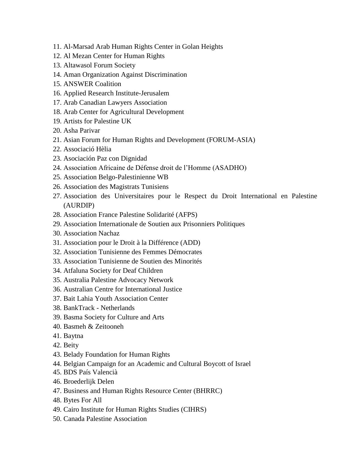- 11. Al-Marsad Arab Human Rights Center in Golan Heights
- 12. Al Mezan Center for Human Rights
- 13. Altawasol Forum Society
- 14. Aman Organization Against Discrimination
- 15. ANSWER Coalition
- 16. Applied Research Institute-Jerusalem
- 17. Arab Canadian Lawyers Association
- 18. Arab Center for Agricultural Development
- 19. Artists for Palestine UK
- 20. Asha Parivar
- 21. Asian Forum for Human Rights and Development (FORUM-ASIA)
- 22. Associació Hèlia
- 23. Asociación Paz con Dignidad
- 24. Association Africaine de Défense droit de l'Homme (ASADHO)
- 25. Association Belgo-Palestinienne WB
- 26. Association des Magistrats Tunisiens
- 27. Association des Universitaires pour le Respect du Droit International en Palestine (AURDIP)
- 28. Association France Palestine Solidarité (AFPS)
- 29. Association Internationale de Soutien aux Prisonniers Politiques
- 30. Association Nachaz
- 31. Association pour le Droit à la Différence (ADD)
- 32. Association Tunisienne des Femmes Démocrates
- 33. Association Tunisienne de Soutien des Minorités
- 34. Atfaluna Society for Deaf Children
- 35. Australia Palestine Advocacy Network
- 36. Australian Centre for International Justice
- 37. Bait Lahia Youth Association Center
- 38. BankTrack Netherlands
- 39. Basma Society for Culture and Arts
- 40. Basmeh & Zeitooneh
- 41. Baytna
- 42. Beity
- 43. Belady Foundation for Human Rights
- 44. Belgian Campaign for an Academic and Cultural Boycott of Israel
- 45. BDS País Valencià
- 46. Broederlijk Delen
- 47. Business and Human Rights Resource Center (BHRRC)
- 48. Bytes For All
- 49. Cairo Institute for Human Rights Studies (CIHRS)
- 50. Canada Palestine Association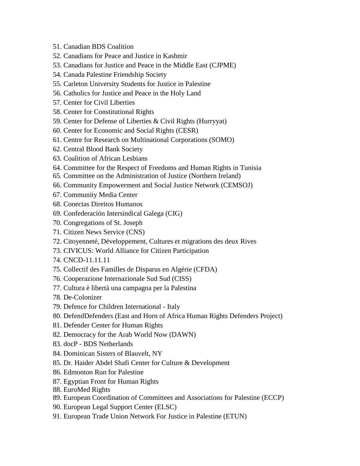- 51. Canadian BDS Coalition
- 52. Canadians for Peace and Justice in Kashmir
- 53. Canadians for Justice and Peace in the Middle East (CJPME)
- 54. Canada Palestine Friendship Society
- 55. Carleton University Students for Justice in Palestine
- 56. Catholics for Justice and Peace in the Holy Land
- 57. Center for Civil Liberties
- 58. Center for Constitutional Rights
- 59. Center for Defense of Liberties & Civil Rights (Hurryyat)
- 60. Center for Economic and Social Rights (CESR)
- 61. Centre for Research on Multinational Corporations (SOMO)
- 62. Central Blood Bank Society
- 63. Coalition of African Lesbians
- 64. Committee for the Respect of Freedoms and Human Rights in Tunisia
- 65. Committee on the Administration of Justice (Northern Ireland)
- 66. Community Empowerment and Social Justice Network (CEMSOJ)
- 67. Community Media Center
- 68. Conectas Direitos Humanos
- 69. Confederación Intersindical Galega (CIG)
- 70. Congregations of St. Joseph
- 71. Citizen News Service (CNS)
- 72. Citoyenneté, Développement, Cultures et migrations des deux Rives
- 73. CIVICUS: World Alliance for Citizen Participation
- 74. CNCD-11.11.11
- 75. Collectif des Familles de Disparus en Algérie (CFDA)
- 76. Cooperazione Internazionale Sud Sud (CISS)
- 77. Cultura è libertà una campagna per la Palestina
- 78. De-Colonizer
- 79. Defence for Children International Italy
- 80. DefendDefenders (East and Horn of Africa Human Rights Defenders Project)
- 81. Defender Center for Human Rights
- 82. Democracy for the Arab World Now (DAWN)
- 83. docP BDS Netherlands
- 84. Dominican Sisters of Blauvelt, NY
- 85. Dr. Haider Abdel Shafi Center for Culture & Development
- 86. Edmonton Run for Palestine
- 87. Egyptian Front for Human Rights
- 88. EuroMed Rights
- 89. European Coordination of Committees and Associations for Palestine (ECCP)
- 90. European Legal Support Center (ELSC)
- 91. European Trade Union Network For Justice in Palestine (ETUN)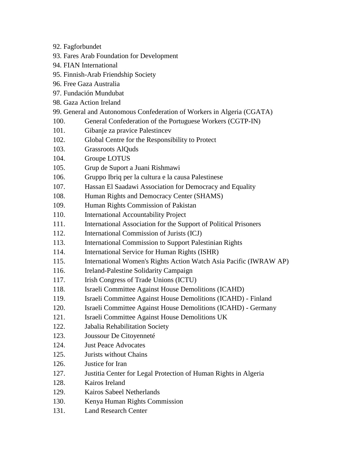- 92. Fagforbundet
- 93. Fares Arab Foundation for Development
- 94. FIAN International
- 95. Finnish-Arab Friendship Society
- 96. Free Gaza Australia
- 97. Fundación Mundubat
- 98. Gaza Action Ireland
- 99. General and Autonomous Confederation of Workers in Algeria (CGATA)
- 100. General Confederation of the Portuguese Workers (CGTP-IN)
- 101. Gibanje za pravice Palestincev
- 102. Global Centre for the Responsibility to Protect
- 103. Grassroots AlQuds
- 104. Groupe LOTUS
- 105. Grup de Suport a Juani Rishmawi
- 106. Gruppo Ibriq per la cultura e la causa Palestinese
- 107. Hassan El Saadawi Association for Democracy and Equality
- 108. Human Rights and Democracy Center (SHAMS)
- 109. Human Rights Commission of Pakistan
- 110. International Accountability Project
- 111. International Association for the Support of Political Prisoners
- 112. International Commission of Jurists (ICJ)
- 113. International Commission to Support Palestinian Rights
- 114. International Service for Human Rights (ISHR)
- 115. International Women's Rights Action Watch Asia Pacific (IWRAW AP)
- 116. Ireland-Palestine Solidarity Campaign
- 117. Irish Congress of Trade Unions (ICTU)
- 118. Israeli Committee Against House Demolitions (ICAHD)
- 119. Israeli Committee Against House Demolitions (ICAHD) Finland
- 120. Israeli Committee Against House Demolitions (ICAHD) Germany
- 121. Israeli Committee Against House Demolitions UK
- 122. Jabalia Rehabilitation Society
- 123. Joussour De Citoyenneté
- 124. Just Peace Advocates
- 125. Jurists without Chains
- 126. Justice for Iran
- 127. Justitia Center for Legal Protection of Human Rights in Algeria
- 128. Kairos Ireland
- 129. Kairos Sabeel Netherlands
- 130. Kenya Human Rights Commission
- 131. Land Research Center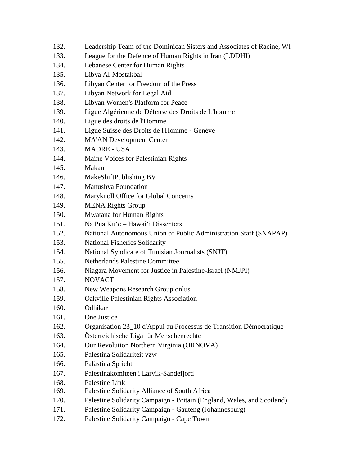| 132. | Leadership Team of the Dominican Sisters and Associates of Racine, WI  |  |  |  |
|------|------------------------------------------------------------------------|--|--|--|
| 133. | League for the Defence of Human Rights in Iran (LDDHI)                 |  |  |  |
| 134. | Lebanese Center for Human Rights                                       |  |  |  |
| 135. | Libya Al-Mostakbal                                                     |  |  |  |
| 136. | Libyan Center for Freedom of the Press                                 |  |  |  |
| 137. | Libyan Network for Legal Aid                                           |  |  |  |
| 138. | Libyan Women's Platform for Peace                                      |  |  |  |
| 139. | Ligue Algérienne de Défense des Droits de L'homme                      |  |  |  |
| 140. | Ligue des droits de l'Homme                                            |  |  |  |
| 141. | Ligue Suisse des Droits de l'Homme - Genève                            |  |  |  |
| 142. | <b>MA'AN</b> Development Center                                        |  |  |  |
| 143. | <b>MADRE - USA</b>                                                     |  |  |  |
| 144. | Maine Voices for Palestinian Rights                                    |  |  |  |
| 145. | Makan                                                                  |  |  |  |
| 146. | MakeShiftPublishing BV                                                 |  |  |  |
| 147. | Manushya Foundation                                                    |  |  |  |
| 148. | Maryknoll Office for Global Concerns                                   |  |  |  |
| 149. | <b>MENA Rights Group</b>                                               |  |  |  |
| 150. | Mwatana for Human Rights                                               |  |  |  |
| 151. | Nā Pua Kū'ē - Hawai'i Dissenters                                       |  |  |  |
| 152. | National Autonomous Union of Public Administration Staff (SNAPAP)      |  |  |  |
| 153. | <b>National Fisheries Solidarity</b>                                   |  |  |  |
| 154. | National Syndicate of Tunisian Journalists (SNJT)                      |  |  |  |
| 155. | <b>Netherlands Palestine Committee</b>                                 |  |  |  |
| 156. | Niagara Movement for Justice in Palestine-Israel (NMJPI)               |  |  |  |
| 157. | <b>NOVACT</b>                                                          |  |  |  |
| 158. | New Weapons Research Group onlus                                       |  |  |  |
| 159. | Oakville Palestinian Rights Association                                |  |  |  |
| 160. | Odhikar                                                                |  |  |  |
| 161. | One Justice                                                            |  |  |  |
| 162. | Organisation 23_10 d'Appui au Processus de Transition Démocratique     |  |  |  |
| 163. | Österreichische Liga für Menschenrechte                                |  |  |  |
| 164. | Our Revolution Northern Virginia (ORNOVA)                              |  |  |  |
| 165. | Palestina Solidariteit vzw                                             |  |  |  |
| 166. | Palästina Spricht                                                      |  |  |  |
| 167. | Palestinakomiteen i Larvik-Sandefjord                                  |  |  |  |
| 168. | Palestine Link                                                         |  |  |  |
| 169. | Palestine Solidarity Alliance of South Africa                          |  |  |  |
| 170. | Palestine Solidarity Campaign - Britain (England, Wales, and Scotland) |  |  |  |
| 171. | Palestine Solidarity Campaign - Gauteng (Johannesburg)                 |  |  |  |
| 172. | Palestine Solidarity Campaign - Cape Town                              |  |  |  |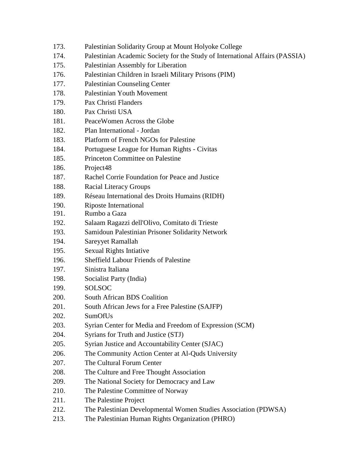| 173. |  | Palestinian Solidarity Group at Mount Holyoke College |  |  |
|------|--|-------------------------------------------------------|--|--|
|------|--|-------------------------------------------------------|--|--|

- 174. Palestinian Academic Society for the Study of International Affairs (PASSIA)
- 175. Palestinian Assembly for Liberation
- 176. Palestinian Children in Israeli Military Prisons (PIM)
- 177. Palestinian Counseling Center
- 178. Palestinian Youth Movement
- 179. Pax Christi Flanders
- 180. Pax Christi USA
- 181. PeaceWomen Across the Globe
- 182. Plan International Jordan
- 183. Platform of French NGOs for Palestine
- 184. Portuguese League for Human Rights Civitas
- 185. Princeton Committee on Palestine
- 186. Project48
- 187. Rachel Corrie Foundation for Peace and Justice
- 188. Racial Literacy Groups
- 189. Réseau International des Droits Humains (RIDH)
- 190. Riposte International
- 191. Rumbo a Gaza
- 192. Salaam Ragazzi dell'Olivo, Comitato di Trieste
- 193. Samidoun Palestinian Prisoner Solidarity Network
- 194. Sareyyet Ramallah
- 195. Sexual Rights Intiative
- 196. Sheffield Labour Friends of Palestine
- 197. Sinistra Italiana
- 198. Socialist Party (India)
- 199. SOLSOC
- 200. South African BDS Coalition
- 201. South African Jews for a Free Palestine (SAJFP)
- 202. SumOfUs
- 203. Syrian Center for Media and Freedom of Expression (SCM)
- 204. Syrians for Truth and Justice (STJ)
- 205. Syrian Justice and Accountability Center (SJAC)
- 206. The Community Action Center at Al-Quds University
- 207. The Cultural Forum Center
- 208. The Culture and Free Thought Association
- 209. The National Society for Democracy and Law
- 210. The Palestine Committee of Norway
- 211. The Palestine Project
- 212. The Palestinian Developmental Women Studies Association (PDWSA)
- 213. The Palestinian Human Rights Organization (PHRO)